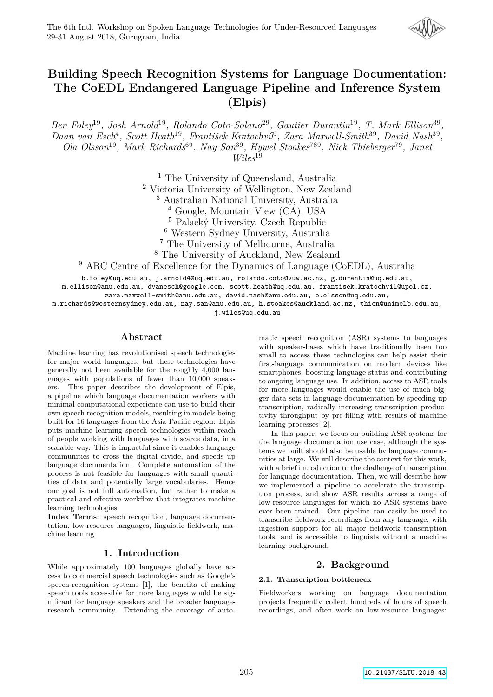

# **Building Speech Recognition Systems for Language Documentation: The CoEDL Endangered Language Pipeline and Inference System (Elpis)**

*Ben Foley*<sup>19</sup>*, Josh Arnold*<sup>19</sup>*, Rolando Coto-Solano*<sup>29</sup>*, Gautier Durantin*<sup>19</sup>*, T. Mark Ellison*<sup>39</sup> *, Daan van Esch*<sup>4</sup> *, Scott Heath*<sup>19</sup>*, František Kratochvíl*<sup>5</sup> *, Zara Maxwell-Smith*<sup>39</sup>*, David Nash*<sup>39</sup> *, Ola Olsson*<sup>19</sup>*, Mark Richards*<sup>69</sup>*, Nay San*<sup>39</sup>*, Hywel Stoakes*<sup>789</sup>*, Nick Thieberger*<sup>79</sup>*, Janet Wiles*<sup>19</sup>

<sup>1</sup> The University of Queensland, Australia

<sup>2</sup> Victoria University of Wellington, New Zealand

<sup>3</sup> Australian National University, Australia

<sup>4</sup> Google, Mountain View (CA), USA

<sup>5</sup> Palacký University, Czech Republic

<sup>6</sup> Western Sydney University, Australia

<sup>7</sup> The University of Melbourne, Australia

<sup>8</sup> The University of Auckland, New Zealand

<sup>9</sup> ARC Centre of Excellence for the Dynamics of Language (CoEDL), Australia

b.foley@uq.edu.au, j.arnold4@uq.edu.au, rolando.coto@vuw.ac.nz, g.durantin@uq.edu.au,

m.ellison@anu.edu.au, dvanesch@google.com, scott.heath@uq.edu.au, frantisek.kratochvil@upol.cz,

zara.maxwell-smith@anu.edu.au, david.nash@anu.edu.au, o.olsson@uq.edu.au,

m.richards@westernsydney.edu.au, nay.san@anu.edu.au, h.stoakes@auckland.ac.nz, thien@unimelb.edu.au,

j.wiles@uq.edu.au

### **Abstract**

Machine learning has revolutionised speech technologies for major world languages, but these technologies have generally not been available for the roughly 4,000 languages with populations of fewer than 10,000 speakers. This paper describes the development of Elpis, a pipeline which language documentation workers with minimal computational experience can use to build their own speech recognition models, resulting in models being built for 16 languages from the Asia-Pacific region. Elpis puts machine learning speech technologies within reach of people working with languages with scarce data, in a scalable way. This is impactful since it enables language communities to cross the digital divide, and speeds up language documentation. Complete automation of the process is not feasible for languages with small quantities of data and potentially large vocabularies. Hence our goal is not full automation, but rather to make a practical and effective workflow that integrates machine learning technologies.

**Index Terms**: speech recognition, language documentation, low-resource languages, linguistic fieldwork, machine learning

# **1. Introduction**

While approximately 100 languages globally have access to commercial speech technologies such as Google's speech-recognition systems [1], the benefits of making speech tools accessible for more languages would be significant for language speakers and the broader languageresearch community. Extending the coverage of automatic speech recognition (ASR) systems to languages with speaker-bases which have traditionally been too small to access these technologies can help assist their first-language communication on modern devices like smartphones, boosting language status and contributing to ongoing language use. In addition, access to ASR tools for more languages would enable the use of much bigger data sets in language documentation by speeding up transcription, radically increasing transcription productivity throughput by pre-filling with results of machine learning processes [2].

In this paper, we focus on building ASR systems for the language documentation use case, although the systems we built should also be usable by language communities at large. We will describe the context for this work, with a brief introduction to the challenge of transcription for language documentation. Then, we will describe how we implemented a pipeline to accelerate the transcription process, and show ASR results across a range of low-resource languages for which no ASR systems have ever been trained. Our pipeline can easily be used to transcribe fieldwork recordings from any language, with ingestion support for all major fieldwork transcription tools, and is accessible to linguists without a machine learning background.

# **2. Background**

#### **2.1. Transcription bottleneck**

Fieldworkers working on language documentation projects frequently collect hundreds of hours of speech recordings, and often work on low-resource languages: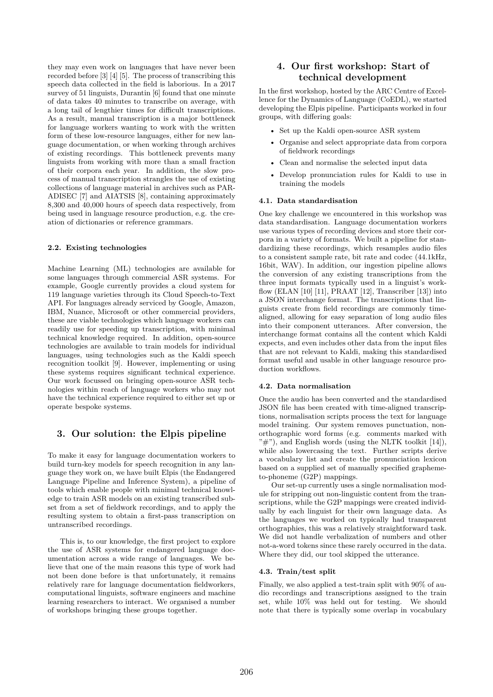they may even work on languages that have never been recorded before [3] [4] [5]. The process of transcribing this speech data collected in the field is laborious. In a 2017 survey of 51 linguists, Durantin [6] found that one minute of data takes 40 minutes to transcribe on average, with a long tail of lengthier times for difficult transcriptions. As a result, manual transcription is a major bottleneck for language workers wanting to work with the written form of these low-resource languages, either for new language documentation, or when working through archives of existing recordings. This bottleneck prevents many linguists from working with more than a small fraction of their corpora each year. In addition, the slow process of manual transcription strangles the use of existing collections of language material in archives such as PAR-ADISEC [7] and AIATSIS [8], containing approximately 8,300 and 40,000 hours of speech data respectively, from being used in language resource production, e.g. the creation of dictionaries or reference grammars.

#### **2.2. Existing technologies**

Machine Learning (ML) technologies are available for some languages through commercial ASR systems. For example, Google currently provides a cloud system for 119 language varieties through its Cloud Speech-to-Text API. For languages already serviced by Google, Amazon, IBM, Nuance, Microsoft or other commercial providers, these are viable technologies which language workers can readily use for speeding up transcription, with minimal technical knowledge required. In addition, open-source technologies are available to train models for individual languages, using technologies such as the Kaldi speech recognition toolkit [9]. However, implementing or using these systems requires significant technical experience. Our work focussed on bringing open-source ASR technologies within reach of language workers who may not have the technical experience required to either set up or operate bespoke systems.

# **3. Our solution: the Elpis pipeline**

To make it easy for language documentation workers to build turn-key models for speech recognition in any language they work on, we have built Elpis (the Endangered Language Pipeline and Inference System), a pipeline of tools which enable people with minimal technical knowledge to train ASR models on an existing transcribed subset from a set of fieldwork recordings, and to apply the resulting system to obtain a first-pass transcription on untranscribed recordings.

This is, to our knowledge, the first project to explore the use of ASR systems for endangered language documentation across a wide range of languages. We believe that one of the main reasons this type of work had not been done before is that unfortunately, it remains relatively rare for language documentation fieldworkers, computational linguists, software engineers and machine learning researchers to interact. We organised a number of workshops bringing these groups together.

# **4. Our first workshop: Start of technical development**

In the first workshop, hosted by the ARC Centre of Excellence for the Dynamics of Language (CoEDL), we started developing the Elpis pipeline. Participants worked in four groups, with differing goals:

- Set up the Kaldi open-source ASR system
- Organise and select appropriate data from corpora of fieldwork recordings
- Clean and normalise the selected input data
- Develop pronunciation rules for Kaldi to use in training the models

#### **4.1. Data standardisation**

One key challenge we encountered in this workshop was data standardisation. Language documentation workers use various types of recording devices and store their corpora in a variety of formats. We built a pipeline for standardizing these recordings, which resamples audio files to a consistent sample rate, bit rate and codec (44.1kHz, 16bit, WAV). In addition, our ingestion pipeline allows the conversion of any existing transcriptions from the three input formats typically used in a linguist's workflow (ELAN [10] [11], PRAAT [12], Transcriber [13]) into a JSON interchange format. The transcriptions that linguists create from field recordings are commonly timealigned, allowing for easy separation of long audio files into their component utterances. After conversion, the interchange format contains all the content which Kaldi expects, and even includes other data from the input files that are not relevant to Kaldi, making this standardised format useful and usable in other language resource production workflows.

#### **4.2. Data normalisation**

Once the audio has been converted and the standardised JSON file has been created with time-aligned transcriptions, normalisation scripts process the text for language model training. Our system removes punctuation, nonorthographic word forms (e.g. comments marked with  $"\#$ "), and English words (using the NLTK toolkit [14]), while also lowercasing the text. Further scripts derive a vocabulary list and create the pronunciation lexicon based on a supplied set of manually specified graphemeto-phoneme (G2P) mappings.

Our set-up currently uses a single normalisation module for stripping out non-linguistic content from the transcriptions, while the G2P mappings were created individually by each linguist for their own language data. As the languages we worked on typically had transparent orthographies, this was a relatively straightforward task. We did not handle verbalization of numbers and other not-a-word tokens since these rarely occurred in the data. Where they did, our tool skipped the utterance.

#### **4.3. Train/test split**

Finally, we also applied a test-train split with 90% of audio recordings and transcriptions assigned to the train set, while 10% was held out for testing. We should note that there is typically some overlap in vocabulary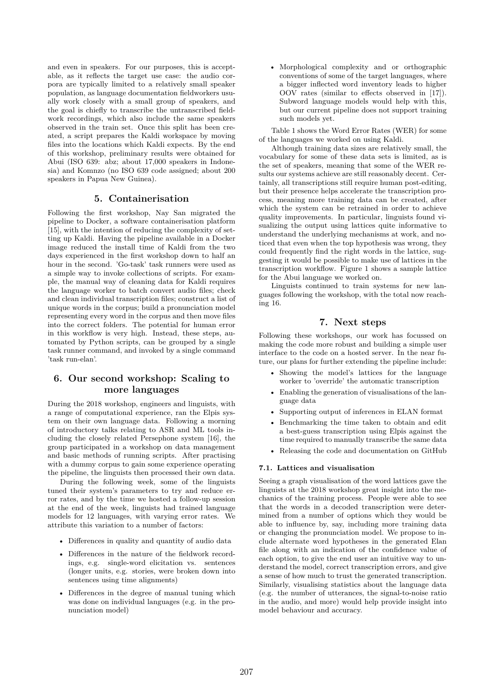and even in speakers. For our purposes, this is acceptable, as it reflects the target use case: the audio corpora are typically limited to a relatively small speaker population, as language documentation fieldworkers usually work closely with a small group of speakers, and the goal is chiefly to transcribe the untranscribed fieldwork recordings, which also include the same speakers observed in the train set. Once this split has been created, a script prepares the Kaldi workspace by moving files into the locations which Kaldi expects. By the end of this workshop, preliminary results were obtained for Abui (ISO 639: abz; about 17,000 speakers in Indonesia) and Komnzo (no ISO 639 code assigned; about 200 speakers in Papua New Guinea).

# **5. Containerisation**

Following the first workshop, Nay San migrated the pipeline to Docker, a software containerisation platform [15], with the intention of reducing the complexity of setting up Kaldi. Having the pipeline available in a Docker image reduced the install time of Kaldi from the two days experienced in the first workshop down to half an hour in the second. 'Go-task' task runners were used as a simple way to invoke collections of scripts. For example, the manual way of cleaning data for Kaldi requires the language worker to batch convert audio files; check and clean individual transcription files; construct a list of unique words in the corpus; build a pronunciation model representing every word in the corpus and then move files into the correct folders. The potential for human error in this workflow is very high. Instead, these steps, automated by Python scripts, can be grouped by a single task runner command, and invoked by a single command 'task run-elan'.

# **6. Our second workshop: Scaling to more languages**

During the 2018 workshop, engineers and linguists, with a range of computational experience, ran the Elpis system on their own language data. Following a morning of introductory talks relating to ASR and ML tools including the closely related Persephone system [16], the group participated in a workshop on data management and basic methods of running scripts. After practising with a dummy corpus to gain some experience operating the pipeline, the linguists then processed their own data.

During the following week, some of the linguists tuned their system's parameters to try and reduce error rates, and by the time we hosted a follow-up session at the end of the week, linguists had trained language models for 12 languages, with varying error rates. We attribute this variation to a number of factors:

- Differences in quality and quantity of audio data
- Differences in the nature of the fieldwork recordings, e.g. single-word elicitation vs. sentences (longer units, e.g. stories, were broken down into sentences using time alignments)
- Differences in the degree of manual tuning which was done on individual languages (e.g. in the pronunciation model)

• Morphological complexity and or orthographic conventions of some of the target languages, where a bigger inflected word inventory leads to higher OOV rates (similar to effects observed in [17]). Subword language models would help with this, but our current pipeline does not support training such models yet.

Table 1 shows the Word Error Rates (WER) for some of the languages we worked on using Kaldi.

Although training data sizes are relatively small, the vocabulary for some of these data sets is limited, as is the set of speakers, meaning that some of the WER results our systems achieve are still reasonably decent. Certainly, all transcriptions still require human post-editing, but their presence helps accelerate the transcription process, meaning more training data can be created, after which the system can be retrained in order to achieve quality improvements. In particular, linguists found visualizing the output using lattices quite informative to understand the underlying mechanisms at work, and noticed that even when the top hypothesis was wrong, they could frequently find the right words in the lattice, suggesting it would be possible to make use of lattices in the transcription workflow. Figure 1 shows a sample lattice for the Abui language we worked on.

Linguists continued to train systems for new languages following the workshop, with the total now reaching 16.

### **7. Next steps**

Following these workshops, our work has focussed on making the code more robust and building a simple user interface to the code on a hosted server. In the near future, our plans for further extending the pipeline include:

- Showing the model's lattices for the language worker to 'override' the automatic transcription
- Enabling the generation of visualisations of the language data
- Supporting output of inferences in ELAN format
- Benchmarking the time taken to obtain and edit a best-guess transcription using Elpis against the time required to manually transcribe the same data
- Releasing the code and documentation on GitHub

#### **7.1. Lattices and visualisation**

Seeing a graph visualisation of the word lattices gave the linguists at the 2018 workshop great insight into the mechanics of the training process. People were able to see that the words in a decoded transcription were determined from a number of options which they would be able to influence by, say, including more training data or changing the pronunciation model. We propose to include alternate word hypotheses in the generated Elan file along with an indication of the confidence value of each option, to give the end user an intuitive way to understand the model, correct transcription errors, and give a sense of how much to trust the generated transcription. Similarly, visualising statistics about the language data (e.g. the number of utterances, the signal-to-noise ratio in the audio, and more) would help provide insight into model behaviour and accuracy.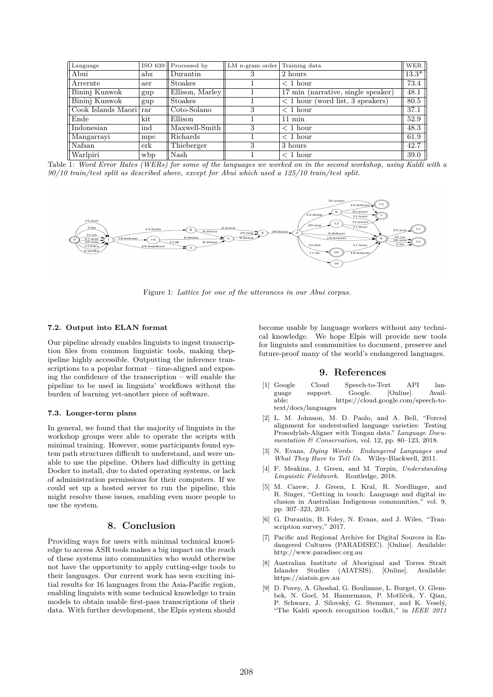| Language               |     | ISO 639   Processed by | LM n-gram order | Training data                           | <b>WER</b>         |
|------------------------|-----|------------------------|-----------------|-----------------------------------------|--------------------|
| Abui                   | abz | Durantin               | 3               | 2 hours                                 | $13.\overline{3*}$ |
| Arrernte               | aer | <b>Stoakes</b>         |                 | $<$ 1 hour                              | 73.4               |
| Bininj Kunwok          | gup | Ellison, Marley        |                 | 17 min (narrative, single speaker)      | 48.1               |
| Bininj Kunwok          | gup | <b>Stoakes</b>         |                 | $\sqrt{2}$ hour (word list, 3 speakers) | 80.5               |
| Cook Islands Maori rar |     | Coto-Solano            | 3               | $<$ 1 hour                              | 37.1               |
| Ende                   | kit | Ellison                |                 | $11 \text{ min}$                        | 52.9               |
| Indonesian             | ind | Maxwell-Smith          | 3               | $<$ 1 hour                              | 48.3               |
| Mangarrayi             | mpc | Richards               |                 | $<$ 1 hour                              | 61.9               |
| Nafsan                 | erk | Thieberger             | 3               | 3 hours                                 | 42.7               |
| Warlpiri               | wbp | Nash                   |                 | $<$ 1 hour                              | 39.0               |

Table 1: *Word Error Rates (WERs) for some of the languages we worked on in the second workshop, using Kaldi with a 90/10 train/test split as described above, except for Abui which used a 125/10 train/test split.*



Figure 1: *Lattice for one of the utterances in our Abui corpus.*

#### **7.2. Output into ELAN format**

Our pipeline already enables linguists to ingest transcription files from common linguistic tools, making thepipeline highly accessible. Outputting the inference transcriptions to a popular format – time-aligned and exposing the confidence of the transcription – will enable the pipeline to be used in linguists' workflows without the burden of learning yet-another piece of software.

#### **7.3. Longer-term plans**

In general, we found that the majority of linguists in the workshop groups were able to operate the scripts with minimal training. However, some participants found system path structures difficult to understand, and were unable to use the pipeline. Others had difficulty in getting Docker to install, due to dated operating systems, or lack of administration permissions for their computers. If we could set up a hosted server to run the pipeline, this might resolve these issues, enabling even more people to use the system.

# **8. Conclusion**

Providing ways for users with minimal technical knowledge to access ASR tools makes a big impact on the reach of these systems into communities who would otherwise not have the opportunity to apply cutting-edge tools to their languages. Our current work has seen exciting initial results for 16 languages from the Asia-Pacific region, enabling linguists with some technical knowledge to train models to obtain usable first-pass transcriptions of their data. With further development, the Elpis system should become usable by language workers without any technical knowledge. We hope Elpis will provide new tools for linguists and communities to document, preserve and future-proof many of the world's endangered languages.

### **9. References**

- [1] Google Cloud Speech-to-Text API lansupport. Google. [Online]. able: https://cloud.google.com/speech-totext/docs/languages
- [2] L. M. Johnson, M. D. Paolo, and A. Bell, "Forced alignment for understudied language varieties: Testing Prosodylab-Aligner with Tongan data." *Language Documentation & Conservation*, vol. 12, pp. 80–123, 2018.
- [3] N. Evans, *Dying Words: Endangered Languages and What They Have to Tell Us*. Wiley-Blackwell, 2011.
- [4] F. Meakins, J. Green, and M. Turpin, *Understanding Linguistic Fieldwork*. Routledge, 2018.
- [5] M. Carew, J. Green, I. Kral, R. Nordlinger, and R. Singer, "Getting in touch: Language and digital inclusion in Australian Indigenous communities," vol. 9, pp. 307–323, 2015.
- [6] G. Durantin, B. Foley, N. Evans, and J. Wiles, "Transcription survey," 2017.
- [7] Pacific and Regional Archive for Digital Sources in Endangered Cultures (PARADISEC). [Online]. Available: http://www.paradisec.org.au
- [8] Australian Institute of Aboriginal and Torres Strait Islander Studies (AIATSIS). [Online]. Available: https://aiatsis.gov.au
- [9] D. Povey, A. Ghoshal, G. Boulianne, L. Burget, O. Glembek, N. Goel, M. Hannemann, P. Motlíček, Y. Qian, P. Schwarz, J. Silovský, G. Stemmer, and K. Veselý, "The Kaldi speech recognition toolkit," in *IEEE 2011*